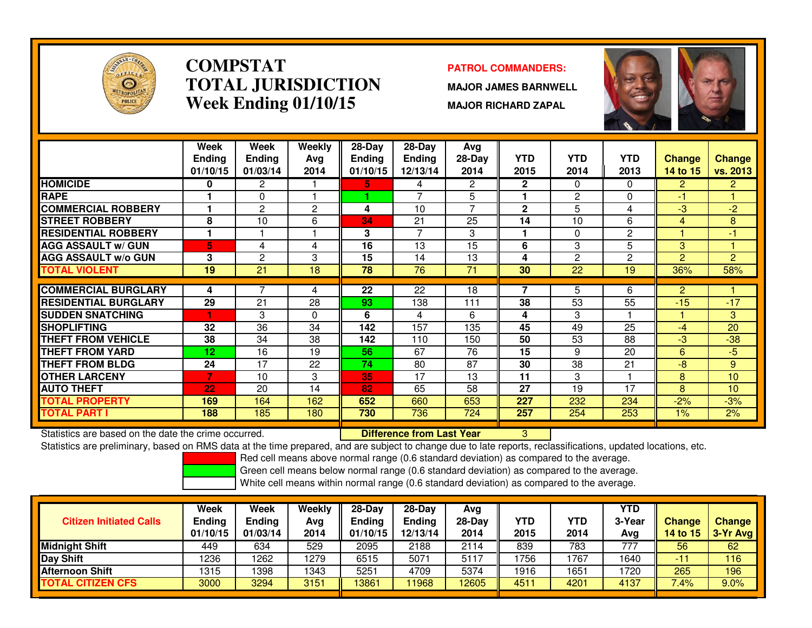

#### **COMPSTATPATROL COMMANDERS:**<br> **PATROL COMMANDERS: TOTAL JURISDICTIONWeek Ending 01/10/15**

 **MAJOR JAMES BARNWELL MAJOR RICHARD ZAPAL**



|                             | Week          | Week            | <b>Weekly</b>  | 28-Day        | 28-Day         | Avg             |              |                 |                |                |                |
|-----------------------------|---------------|-----------------|----------------|---------------|----------------|-----------------|--------------|-----------------|----------------|----------------|----------------|
|                             | <b>Ending</b> | <b>Ending</b>   | Avg            | <b>Ending</b> | <b>Ending</b>  | 28-Day          | <b>YTD</b>   | <b>YTD</b>      | <b>YTD</b>     | <b>Change</b>  | <b>Change</b>  |
|                             | 01/10/15      | 01/03/14        | 2014           | 01/10/15      | 12/13/14       | 2014            | 2015         | 2014            | 2013           | 14 to 15       | vs. 2013       |
| <b>HOMICIDE</b>             | 0             | $\overline{2}$  |                | 5.            | 4              | $\overline{2}$  | $\mathbf{2}$ | 0               | $\Omega$       | $\overline{2}$ | $\overline{2}$ |
| <b>RAPE</b>                 |               | 0               |                | 4.            | $\overline{ }$ | 5               |              | 2               | $\Omega$       | -1             |                |
| <b>COMMERCIAL ROBBERY</b>   |               | $\overline{2}$  | $\overline{2}$ | 4             | 10             | $\overline{ }$  | $\mathbf{2}$ | 5               | 4              | $-3$           | $-2$           |
| <b>STREET ROBBERY</b>       | 8             | 10              | 6              | 34            | 21             | 25              | 14           | 10              | 6              | 4              | 8              |
| <b>RESIDENTIAL ROBBERY</b>  |               |                 |                | 3             | 7              | 3               | 1            | 0               | 2              |                | $-1$           |
| <b>AGG ASSAULT w/ GUN</b>   | 5             | 4               | 4              | 16            | 13             | 15              | 6            | 3               | 5              | $\mathbf{3}$   |                |
| <b>AGG ASSAULT W/o GUN</b>  | 3             | 2               | 3              | 15            | 14             | 13              | 4            | $\overline{c}$  | $\overline{2}$ | $\overline{2}$ | $\overline{2}$ |
| <b>TOTAL VIOLENT</b>        | 19            | $\overline{21}$ | 18             | 78            | 76             | $\overline{71}$ | 30           | $\overline{22}$ | 19             | 36%            | 58%            |
|                             |               |                 |                |               |                |                 |              |                 |                |                |                |
| <b>COMMERCIAL BURGLARY</b>  | 4             |                 | 4              | 22            | 22             | 18              | 7            | 5.              | 6              | $\overline{2}$ |                |
| <b>RESIDENTIAL BURGLARY</b> | 29            | 21              | 28             | 93            | 138            | 111             | 38           | 53              | 55             | $-15$          | $-17$          |
| <b>SUDDEN SNATCHING</b>     |               | 3               | 0              | 6             | 4              | 6               | 4            | 3               |                |                | 3              |
| <b>SHOPLIFTING</b>          | 32            | 36              | 34             | 142           | 157            | 135             | 45           | 49              | 25             | -4             | 20             |
| <b>THEFT FROM VEHICLE</b>   | 38            | 34              | 38             | 142           | 110            | 150             | 50           | 53              | 88             | $-3$           | $-38$          |
| <b>THEFT FROM YARD</b>      | 12            | 16              | 19             | 56.           | 67             | 76              | 15           | 9               | 20             | 6              | $-5$           |
| <b>THEFT FROM BLDG</b>      | 24            | 17              | 22             | 74            | 80             | 87              | 30           | 38              | 21             | -8             | 9              |
| <b>OTHER LARCENY</b>        |               | 10              | 3              | 35            | 17             | 13              | 11           | 3               |                | 8              | 10             |
| <b>AUTO THEFT</b>           | 22            | 20              | 14             | 82            | 65             | 58              | 27           | 19              | 17             | 8              | 10             |
| <b>TOTAL PROPERTY</b>       | 169           | 164             | 162            | 652           | 660            | 653             | 227          | 232             | 234            | $-2%$          | $-3%$          |
| <b>TOTAL PART I</b>         | 188           | 185             | 180            | 730           | 736            | 724             | 257          | 254             | 253            | $1\%$          | 2%             |

Statistics are based on the date the crime occurred. **Difference from Last Year** 

Statistics are based on the date the crime occurred. **In the prepared, and are subject to change due to late reports, reclassifications, updated locations, etc.<br>Statistics are preliminary, based on RMS data at the time pre** 

Red cell means above normal range (0.6 standard deviation) as compared to the average.

Green cell means below normal range (0.6 standard deviation) as compared to the average.

| <b>Citizen Initiated Calls</b> | Week<br><b>Ending</b><br>01/10/15 | <b>Week</b><br>Ending<br>01/03/14 | Weekly<br>Ava<br>2014 | $28-Dav$<br>Endina<br>01/10/15 | $28-Day$<br><b>Ending</b><br>12/13/14 | Avg<br>$28-Day$<br>2014 | YTD<br>2015 | YTD<br>2014 | YTD<br>3-Year<br>Avg | <b>Change</b><br><b>14 to 15</b> | <b>Change</b><br>$3-Yr$ Avg |  |
|--------------------------------|-----------------------------------|-----------------------------------|-----------------------|--------------------------------|---------------------------------------|-------------------------|-------------|-------------|----------------------|----------------------------------|-----------------------------|--|
| <b>Midnight Shift</b>          | 449                               | 634                               | 529                   | 2095                           | 2188                                  | 2114                    | 839         | 783         | 777                  | 56                               | 62                          |  |
| Day Shift                      | 1236                              | 1262                              | 1279                  | 6515                           | 5071                                  | 5117                    | 1756        | 1767        | 1640                 | -11                              | 116                         |  |
| Afternoon Shift                | 1315                              | 1398                              | 1343                  | 5251                           | 4709                                  | 5374                    | 1916        | 1651        | 1720                 | 265                              | 196                         |  |
| <b>TOTAL CITIZEN CFS</b>       | 3000                              | 3294                              | 3151                  | 13861                          | 1968                                  | 12605                   | 4511        | 4201        | 4137                 | $7.4\%$                          | 9.0%                        |  |
|                                |                                   |                                   |                       |                                |                                       |                         |             |             |                      |                                  |                             |  |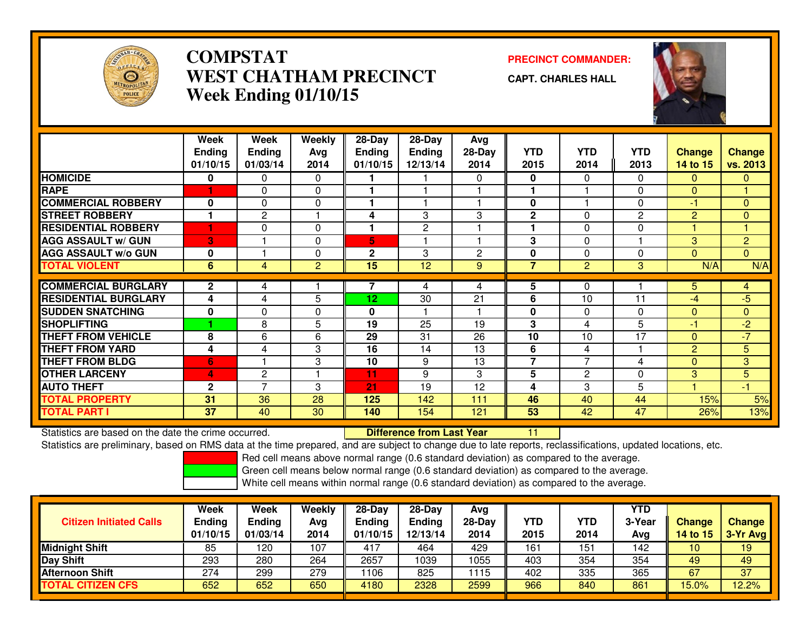

### **COMPSTAT PRECINCT COMMANDER: WEST CHATHAM PRECINCTWeek Ending 01/10/15**



**CAPT. CHARLES HALL**



|                             | Week<br><b>Ending</b><br>01/10/15 | Week<br><b>Ending</b><br>01/03/14 | Weekly<br>Avg<br>2014 | $28-Day$<br><b>Ending</b><br>01/10/15 | $28$ -Day<br><b>Ending</b><br>12/13/14 | Avg<br>$28-Day$<br>2014 | <b>YTD</b><br>2015      | <b>YTD</b><br>2014 | <b>YTD</b><br>2013 | <b>Change</b><br>14 to 15 | <b>Change</b><br><b>vs. 2013</b> |
|-----------------------------|-----------------------------------|-----------------------------------|-----------------------|---------------------------------------|----------------------------------------|-------------------------|-------------------------|--------------------|--------------------|---------------------------|----------------------------------|
| <b>HOMICIDE</b>             | 0                                 | 0                                 | 0                     |                                       |                                        | $\Omega$                | $\mathbf{0}$            | 0                  | 0                  | 0                         | $\mathbf{0}$                     |
| <b>RAPE</b>                 |                                   | 0                                 | $\Omega$              |                                       |                                        |                         |                         |                    | $\Omega$           | $\Omega$                  |                                  |
| <b>COMMERCIAL ROBBERY</b>   | 0                                 | $\Omega$                          | $\Omega$              |                                       |                                        |                         | 0                       |                    | $\Omega$           | $-1$                      | $\Omega$                         |
| <b>STREET ROBBERY</b>       | 1                                 | $\mathbf{2}$                      |                       | 4                                     | 3                                      | 3                       | $\mathbf{2}$            | 0                  | $\overline{2}$     | $\overline{c}$            | $\mathbf{0}$                     |
| <b>RESIDENTIAL ROBBERY</b>  |                                   | 0                                 | $\Omega$              |                                       | $\mathbf{2}$                           |                         |                         | 0                  | $\Omega$           |                           |                                  |
| <b>AGG ASSAULT w/ GUN</b>   | 3                                 |                                   | $\Omega$              | 5.                                    |                                        |                         | 3                       | $\Omega$           |                    | 3                         | $\overline{2}$                   |
| <b>AGG ASSAULT w/o GUN</b>  | 0                                 |                                   | $\Omega$              | $\mathbf{2}$                          | 3                                      | 2                       | 0                       | 0                  | $\mathbf{0}$       | $\Omega$                  | $\Omega$                         |
| <b>TOTAL VIOLENT</b>        | 6                                 | 4                                 | $\overline{2}$        | 15                                    | 12                                     | 9                       | $\overline{7}$          | 2                  | 3                  | N/A                       | N/A                              |
|                             |                                   |                                   |                       |                                       |                                        |                         |                         |                    |                    |                           |                                  |
| <b>COMMERCIAL BURGLARY</b>  | $\mathbf{2}$                      | 4                                 |                       |                                       | 4                                      | 4                       | 5                       | $\Omega$           |                    | 5.                        | $\overline{4}$                   |
| <b>RESIDENTIAL BURGLARY</b> | 4                                 | 4                                 | 5                     | 12                                    | 30                                     | 21                      | 6                       | 10                 | 11                 | $-4$                      | $-5$                             |
| <b>SUDDEN SNATCHING</b>     | $\bf{0}$                          | $\Omega$                          | $\Omega$              | $\bf{0}$                              |                                        |                         | 0                       | 0                  | $\Omega$           | $\Omega$                  | $\mathbf{0}$                     |
| <b>SHOPLIFTING</b>          |                                   | 8                                 | 5.                    | 19                                    | 25                                     | 19                      | 3                       | 4                  | 5                  | -1                        | $-2$                             |
| <b>THEFT FROM VEHICLE</b>   | 8                                 | 6                                 | 6                     | 29                                    | 31                                     | 26                      | 10                      | 10                 | 17                 | $\Omega$                  | $-7$                             |
| <b>THEFT FROM YARD</b>      | 4                                 | 4                                 | 3                     | 16                                    | 14                                     | 13                      | 6                       | 4                  |                    | $\overline{2}$            | 5                                |
| <b>THEFT FROM BLDG</b>      | 6                                 |                                   | 3                     | 10                                    | 9                                      | 13                      | $\overline{\mathbf{z}}$ | $\overline{7}$     | 4                  | $\Omega$                  | 3                                |
| <b>OTHER LARCENY</b>        | 4                                 | $\overline{c}$                    |                       | 11                                    | 9                                      | 3                       | 5                       | $\mathbf{2}$       | $\Omega$           | 3                         | 5                                |
| <b>AUTO THEFT</b>           | $\mathbf{2}$                      | $\overline{7}$                    | 3                     | $\overline{21}$                       | 19                                     | 12                      | 4                       | 3                  | 5                  |                           | $-1$                             |
| <b>TOTAL PROPERTY</b>       | 31                                | 36                                | 28                    | 125                                   | 142                                    | 111                     | 46                      | 40                 | 44                 | 15%                       | 5%                               |
| <b>TOTAL PART I</b>         | 37                                | 40                                | 30                    | 140                                   | 154                                    | 121                     | 53                      | 42                 | 47                 | 26%                       | 13%                              |

Statistics are based on the date the crime occurred. **Difference from Last Year** 

Statistics are based on the date the crime occurred. The time prepared, and are subject to change due to late reports, reclassifications, updated locations, etc.<br>Statistics are preliminary, based on RMS data at the time pr

Red cell means above normal range (0.6 standard deviation) as compared to the average.

Green cell means below normal range (0.6 standard deviation) as compared to the average.

| <b>Citizen Initiated Calls</b> | Week<br><b>Ending</b><br>01/10/15 | Week<br><b>Ending</b><br>01/03/14 | Weekly<br>Avg<br>2014 | 28-Day<br><b>Ending</b><br>01/10/15 | $28-Dav$<br><b>Ending</b><br>12/13/14 | Avg<br>$28$ -Day<br>2014 | YTD<br>2015 | <b>YTD</b><br>2014 | YTD<br>3-Year<br>Avg | <b>Change</b><br>14 to 15 | <b>Change</b><br>3-Yr Avg |
|--------------------------------|-----------------------------------|-----------------------------------|-----------------------|-------------------------------------|---------------------------------------|--------------------------|-------------|--------------------|----------------------|---------------------------|---------------------------|
| <b>Midnight Shift</b>          | 85                                | 120                               | 107                   | 417                                 | 464                                   | 429                      | 161         | 151                | 142                  | 10                        | 19                        |
| <b>Day Shift</b>               | 293                               | 280                               | 264                   | 2657                                | 1039                                  | 1055                     | 403         | 354                | 354                  | 49                        | 49                        |
| <b>Afternoon Shift</b>         | 274                               | 299                               | 279                   | 1106                                | 825                                   | 1115                     | 402         | 335                | 365                  | 67                        | 37                        |
| <b>TOTAL CITIZEN CFS</b>       | 652                               | 652                               | 650                   | 4180                                | 2328                                  | 2599                     | 966         | 840                | 861                  | $15.0\%$                  | 12.2%                     |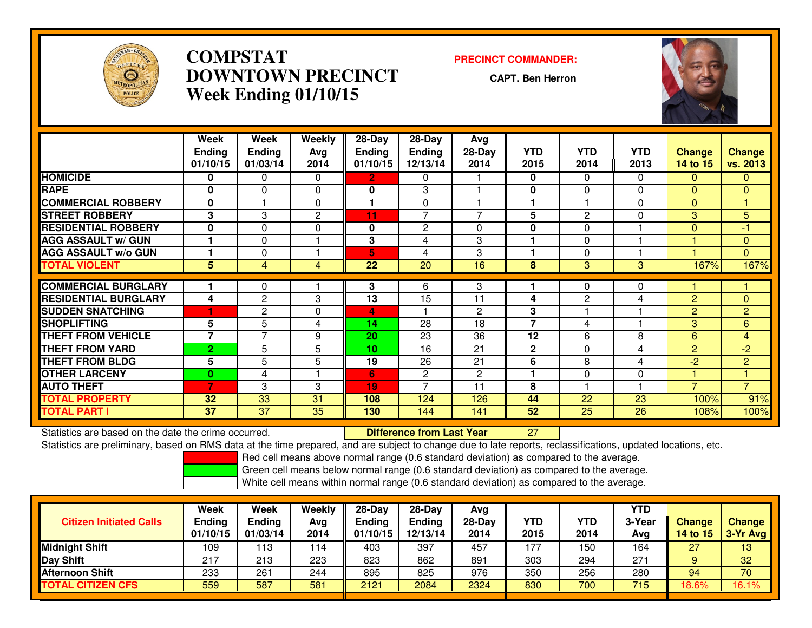

### **COMPSTAT PRECINCT COMMANDER: DOWNTOWN PRECINCTWeek Ending 01/10/15**

**CAPT. Ben Herron**



|                             | Week<br><b>Ending</b><br>01/10/15 | Week<br><b>Ending</b><br>01/03/14 | Weekly<br>Ava<br>2014 | $28-Day$<br><b>Ending</b><br>01/10/15 | $28$ -Day<br><b>Ending</b><br>12/13/14 | Avg<br>$28-Day$<br>2014 | <b>YTD</b><br>2015 | <b>YTD</b><br>2014 | <b>YTD</b><br>2013 | <b>Change</b><br>14 to 15 | <b>Change</b><br>vs. 2013 |
|-----------------------------|-----------------------------------|-----------------------------------|-----------------------|---------------------------------------|----------------------------------------|-------------------------|--------------------|--------------------|--------------------|---------------------------|---------------------------|
| <b>HOMICIDE</b>             | 0                                 | 0                                 | $\Omega$              | 2                                     | 0                                      |                         | 0                  | 0                  | 0                  | 0                         | $\mathbf{0}$              |
| <b>RAPE</b>                 | $\bf{0}$                          | $\Omega$                          | $\Omega$              | $\bf{0}$                              | 3                                      |                         | 0                  | $\Omega$           | $\Omega$           | 0                         | $\mathbf{0}$              |
| <b>COMMERCIAL ROBBERY</b>   | 0                                 |                                   | 0                     |                                       | $\Omega$                               |                         | 1                  |                    | $\Omega$           | $\Omega$                  |                           |
| <b>STREET ROBBERY</b>       | 3                                 | 3                                 | $\overline{2}$        | 11                                    | $\overline{7}$                         | $\overline{7}$          | 5                  | $\mathbf{2}$       | 0                  | 3                         | 5                         |
| <b>RESIDENTIAL ROBBERY</b>  | $\Omega$                          | 0                                 | $\Omega$              | 0                                     | $\overline{c}$                         | $\Omega$                | 0                  | 0                  |                    | $\Omega$                  | -1                        |
| <b>AGG ASSAULT w/ GUN</b>   |                                   | 0                                 |                       | 3                                     | 4                                      | 3                       |                    | 0                  |                    |                           | $\mathbf{0}$              |
| <b>AGG ASSAULT w/o GUN</b>  |                                   | 0                                 |                       | 5                                     | 4                                      | 3                       |                    | 0                  |                    |                           | $\overline{0}$            |
| <b>TOTAL VIOLENT</b>        | 5                                 | 4                                 | 4                     | 22                                    | 20                                     | 16                      | 8                  | 3                  | 3                  | 167%                      | 167%                      |
|                             |                                   |                                   |                       |                                       |                                        |                         |                    |                    |                    |                           |                           |
| <b>COMMERCIAL BURGLARY</b>  |                                   | 0                                 |                       | 3                                     | 6                                      | 3                       |                    | 0                  | 0                  |                           |                           |
| <b>RESIDENTIAL BURGLARY</b> | 4                                 | 2                                 | 3                     | 13                                    | 15                                     | 11                      | 4                  | 2                  | 4                  | $\overline{2}$            | $\Omega$                  |
| <b>SUDDEN SNATCHING</b>     |                                   | $\mathbf{2}$                      | $\Omega$              | $\overline{4}$                        |                                        | 2                       | 3                  |                    |                    | $\overline{2}$            | $\overline{2}$            |
| <b>SHOPLIFTING</b>          | 5                                 | 5                                 | 4                     | 14                                    | 28                                     | 18                      | $\overline{7}$     | 4                  |                    | 3                         | 6                         |
| <b>THEFT FROM VEHICLE</b>   | 7                                 | 7                                 | 9                     | 20                                    | 23                                     | 36                      | 12                 | 6                  | 8                  | 6                         | $\overline{4}$            |
| <b>THEFT FROM YARD</b>      | $\overline{2}$                    | 5                                 | 5                     | 10                                    | 16                                     | 21                      | $\mathbf{2}$       | 0                  | 4                  | $\overline{2}$            | $-2$                      |
| <b>THEFT FROM BLDG</b>      | 5                                 | 5                                 | 5                     | 19                                    | 26                                     | 21                      | 6                  | 8                  | 4                  | $-2$                      | $\overline{2}$            |
| <b>OTHER LARCENY</b>        | 0                                 | 4                                 |                       | 6                                     | 2                                      | $\overline{2}$          | 1                  | 0                  | 0                  |                           |                           |
| <b>AUTO THEFT</b>           | 7                                 | 3                                 | 3                     | 19                                    | $\overline{7}$                         | 11                      | 8                  |                    |                    | ⇁                         | $\overline{7}$            |
| <b>TOTAL PROPERTY</b>       | 32                                | 33                                | 31                    | 108                                   | 124                                    | 126                     | 44                 | 22                 | 23                 | 100%                      | 91%                       |
| <b>TOTAL PART I</b>         | 37                                | 37                                | 35                    | 130                                   | 144                                    | 141                     | 52                 | $\overline{25}$    | 26                 | 108%                      | 100%                      |

Statistics are based on the date the crime occurred. **Difference from Last Year** 

Statistics are based on the date the crime occurred.<br>Statistics are preliminary, based on RMS data at the time prepared, and are subject to change due to late reports, reclassifications, updated locations, etc.

Red cell means above normal range (0.6 standard deviation) as compared to the average.

Green cell means below normal range (0.6 standard deviation) as compared to the average.

| <b>Citizen Initiated Calls</b> | Week<br><b>Ending</b><br>01/10/15 | Week<br><b>Ending</b><br>01/03/14 | Weekly<br>Avg<br>2014 | $28-Dav$<br><b>Ending</b><br>01/10/15 | $28-Day$<br><b>Ending</b><br>12/13/14 | Avg<br>$28-Day$<br>2014 | YTD<br>2015 | YTD<br>2014 | <b>YTD</b><br>3-Year<br>Avg | <b>Change</b><br>14 to 15 | <b>Change</b><br>$3-Yr$ Avg |
|--------------------------------|-----------------------------------|-----------------------------------|-----------------------|---------------------------------------|---------------------------------------|-------------------------|-------------|-------------|-----------------------------|---------------------------|-----------------------------|
| <b>Midnight Shift</b>          | 109                               | 113                               | 114                   | 403                                   | 397                                   | 457                     | 177         | 150         | 164                         | 27                        | 13                          |
| <b>Day Shift</b>               | 217                               | 213                               | 223                   | 823                                   | 862                                   | 891                     | 303         | 294         | 271                         |                           | 32                          |
| Afternoon Shift                | 233                               | 261                               | 244                   | 895                                   | 825                                   | 976                     | 350         | 256         | 280                         | 94                        | 70                          |
| <b>TOTAL CITIZEN CFS</b>       | 559                               | 587                               | 581                   | 2121                                  | 2084                                  | 2324                    | 830         | 700         | 715                         | 18.6%                     | 16.1%                       |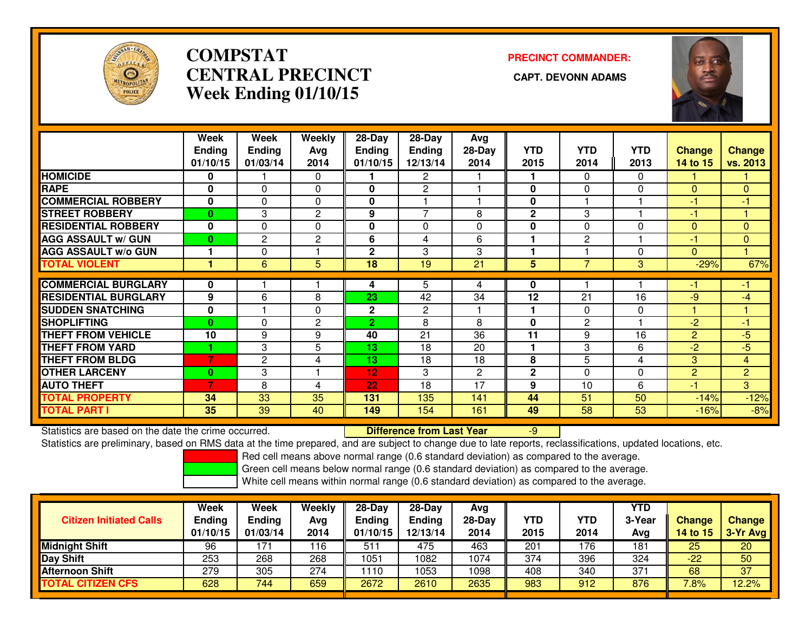

## **COMPSTATCENTRAL PRECINCT Week Ending 01/10/15**

# **PRECINCT COMMANDER:**



|                             | Week<br><b>Ending</b><br>01/10/15 | Week<br><b>Ending</b><br>01/03/14 | Weekly<br>Avg<br>2014 | 28-Day<br>Ending<br>01/10/15 | $28$ -Day<br><b>Ending</b><br>12/13/14 | Avg<br>$28-Day$<br>2014 | <b>YTD</b><br>2015 | <b>YTD</b><br>2014 | <b>YTD</b><br>2013 | <b>Change</b><br>14 to 15 | <b>Change</b><br>vs. 2013 |
|-----------------------------|-----------------------------------|-----------------------------------|-----------------------|------------------------------|----------------------------------------|-------------------------|--------------------|--------------------|--------------------|---------------------------|---------------------------|
| <b>HOMICIDE</b>             | 0                                 |                                   | 0                     |                              | 2                                      |                         |                    | 0                  | 0                  |                           |                           |
| <b>RAPE</b>                 | $\bf{0}$                          | $\Omega$                          | $\Omega$              | 0                            | 2                                      |                         | 0                  | 0                  | $\Omega$           | $\Omega$                  | $\Omega$                  |
| <b>COMMERCIAL ROBBERY</b>   | $\bf{0}$                          | $\Omega$                          | $\Omega$              | 0                            |                                        |                         | 0                  |                    |                    | -1                        | -1                        |
| <b>STREET ROBBERY</b>       | $\mathbf{0}$                      | 3                                 | $\overline{2}$        | 9                            | $\overline{7}$                         | 8                       | $\mathbf{2}$       | 3                  |                    | $-1$                      |                           |
| <b>RESIDENTIAL ROBBERY</b>  | $\bf{0}$                          | $\Omega$                          | $\Omega$              | 0                            | $\Omega$                               | $\Omega$                | $\bf{0}$           | 0                  | 0                  | $\Omega$                  | $\Omega$                  |
| <b>AGG ASSAULT W/ GUN</b>   | $\bf{0}$                          | $\mathbf{2}$                      | $\overline{2}$        | 6                            | 4                                      | 6                       |                    | 2                  |                    | $-1$                      | $\mathbf{0}$              |
| <b>AGG ASSAULT w/o GUN</b>  |                                   | 0                                 |                       | $\overline{2}$               | 3                                      | 3                       |                    |                    | 0                  | $\Omega$                  |                           |
| <b>TOTAL VIOLENT</b>        |                                   | 6                                 | 5                     | 18                           | 19                                     | 21                      | 5                  | 7                  | 3                  | $-29%$                    | 67%                       |
| <b>COMMERCIAL BURGLARY</b>  | 0                                 |                                   |                       | 4                            | 5                                      | 4                       | 0                  |                    |                    |                           | -1                        |
| <b>RESIDENTIAL BURGLARY</b> | 9                                 | 6                                 | 8                     | 23                           | 42                                     | 34                      | 12                 | 21                 | 16                 | -9                        | $-4$                      |
| <b>SUDDEN SNATCHING</b>     | $\bf{0}$                          |                                   | 0                     | $\mathbf 2$                  | 2                                      |                         | 1                  | 0                  | 0                  |                           |                           |
| <b>SHOPLIFTING</b>          | $\Omega$                          | $\Omega$                          | $\mathbf{2}$          | $\overline{2}$               | 8                                      | 8                       | $\bf{0}$           | $\overline{c}$     |                    | $-2$                      | -1                        |
| <b>THEFT FROM VEHICLE</b>   | 10                                | 9                                 | 9                     | 40                           | 21                                     | 36                      | 11                 | 9                  | 16                 | $\overline{2}$            | $-5$                      |
| <b>THEFT FROM YARD</b>      |                                   | 3                                 | 5                     | 13                           | 18                                     | 20                      | 1                  | 3                  | 6                  | $-2$                      | $-5$                      |
| <b>THEFT FROM BLDG</b>      | $\overline{7}$                    | $\mathbf{2}$                      | 4                     | 13                           | 18                                     | 18                      | 8                  | 5                  | 4                  | 3                         | $\overline{4}$            |
| <b>OTHER LARCENY</b>        | $\bf{0}$                          | 3                                 |                       | 12                           | 3                                      | $\mathbf{2}$            | $\mathbf{2}$       | 0                  | 0                  | $\overline{c}$            | $\overline{2}$            |
| <b>AUTO THEFT</b>           | 7                                 | 8                                 | 4                     | 22                           | 18                                     | 17                      | 9                  | 10                 | 6                  | -1                        | 3                         |
| <b>TOTAL PROPERTY</b>       | 34                                | 33                                | 35                    | 131                          | 135                                    | 141                     | 44                 | 51                 | 50                 | $-14%$                    | $-12%$                    |
| <b>TOTAL PART I</b>         | 35                                | 39                                | 40                    | 149                          | 154                                    | 161                     | 49                 | 58                 | 53                 | $-16%$                    | $-8%$                     |

Statistics are based on the date the crime occurred. **Difference from Last Year** 

Statistics are based on the date the crime occurred.<br>Statistics are preliminary, based on RMS data at the time prepared, and are subject to change due to late reports, reclassifications, updated locations, etc.

Red cell means above normal range (0.6 standard deviation) as compared to the average.

Green cell means below normal range (0.6 standard deviation) as compared to the average.

| <b>Citizen Initiated Calls</b> | Week<br>Ending<br>01/10/15 | Week<br><b>Ending</b><br>01/03/14 | Weekly<br>Avg<br>2014 | 28-Day<br><b>Ending</b><br>01/10/15 | $28-Day$<br>Ending<br>12/13/14 | Avg<br>$28-Day$<br>2014 | <b>YTD</b><br>2015 | <b>YTD</b><br>2014 | YTD<br>3-Year<br>Avg | <b>Change</b><br>14 to 15 | <b>Change</b><br>3-Yr Avg |
|--------------------------------|----------------------------|-----------------------------------|-----------------------|-------------------------------------|--------------------------------|-------------------------|--------------------|--------------------|----------------------|---------------------------|---------------------------|
| <b>Midnight Shift</b>          | 96                         | 171                               | 116                   | $51^\circ$                          | 475                            | 463                     | 201                | 176                | 181                  | 25                        | 20                        |
| Day Shift                      | 253                        | 268                               | 268                   | 1051                                | 082                            | 1074                    | 374                | 396                | 324                  | $-22$                     | 50                        |
| <b>Afternoon Shift</b>         | 279                        | 305                               | 274                   | 110                                 | 053                            | 1098                    | 408                | 340                | 371                  | 68                        | 37                        |
| <b>TOTAL CITIZEN CFS</b>       | 628                        | 744                               | 659                   | 2672                                | 2610                           | 2635                    | 983                | 912                | 876                  | $^{\prime}.8\%$           | 12.2%                     |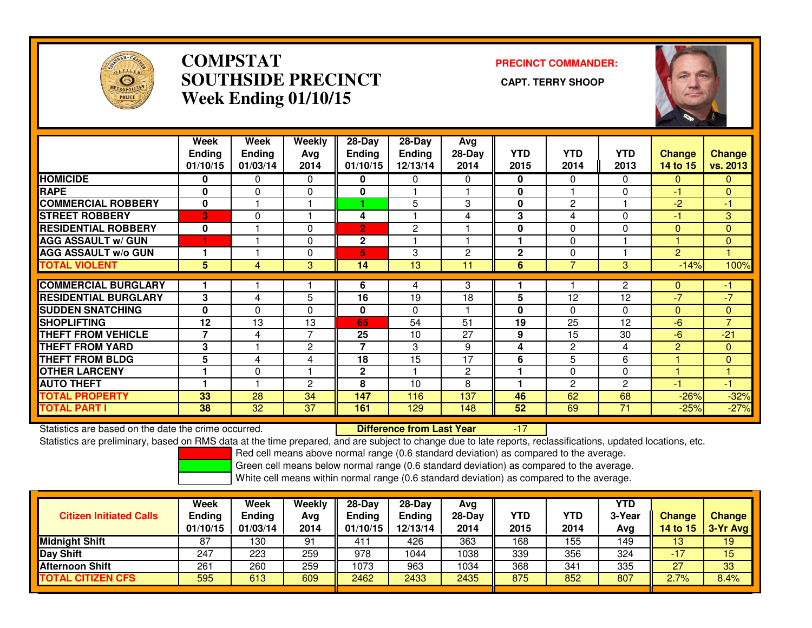

#### **COMPSTAT PRECINCT COMMANDER: SOUTHSIDE PRECINCT CAPT. TERRY SHOOPWeek Ending 01/10/15**



|                             | Week<br><b>Ending</b><br>01/10/15 | <b>Week</b><br><b>Ending</b><br>01/03/14 | Weekly<br>Avg<br>2014 | $28 - Day$<br><b>Ending</b><br>01/10/15 | $28-Day$<br><b>Ending</b><br>12/13/14 | Avg<br>$28-Day$<br>2014 | <b>YTD</b><br>2015 | <b>YTD</b><br>2014 | <b>YTD</b><br>2013 | <b>Change</b><br>14 to 15 | <b>Change</b><br>vs. 2013 |
|-----------------------------|-----------------------------------|------------------------------------------|-----------------------|-----------------------------------------|---------------------------------------|-------------------------|--------------------|--------------------|--------------------|---------------------------|---------------------------|
| <b>HOMICIDE</b>             | 0                                 | 0                                        | 0                     | 0                                       | 0                                     | 0                       | 0                  | $\Omega$           | $\Omega$           | $\Omega$                  | $\mathbf{0}$              |
| <b>RAPE</b>                 | $\mathbf 0$                       | $\mathbf{0}$                             | $\mathbf 0$           | 0                                       |                                       |                         | 0                  |                    | $\Omega$           | $-1$                      | $\mathbf{0}$              |
| <b>COMMERCIAL ROBBERY</b>   | $\bf{0}$                          |                                          |                       |                                         | 5                                     | 3                       | $\mathbf 0$        | $\overline{c}$     |                    | $-2$                      | $-1$                      |
| <b>STREET ROBBERY</b>       | 3                                 | $\mathbf 0$                              |                       | 4                                       |                                       | 4                       | 3                  | 4                  | $\mathbf{0}$       | $-1$                      | 3                         |
| <b>RESIDENTIAL ROBBERY</b>  | 0                                 |                                          | $\Omega$              | $\overline{2}$                          | 2                                     |                         | 0                  | 0                  | $\Omega$           | $\Omega$                  | $\overline{0}$            |
| <b>AGG ASSAULT W/ GUN</b>   |                                   |                                          | $\Omega$              | $\mathbf{2}$                            |                                       |                         |                    | 0                  |                    |                           | $\mathbf{0}$              |
| <b>AGG ASSAULT w/o GUN</b>  |                                   |                                          | $\Omega$              | 5                                       | 3                                     | 2                       | $\mathbf{2}$       | 0                  |                    | $\overline{2}$            |                           |
| <b>TOTAL VIOLENT</b>        | 5                                 | 4                                        | 3                     | 14                                      | 13                                    | 11                      | 6                  | $\overline{7}$     | 3                  | $-14%$                    | 100%                      |
|                             |                                   |                                          |                       |                                         |                                       |                         |                    |                    |                    |                           |                           |
| <b>COMMERCIAL BURGLARY</b>  |                                   |                                          |                       | 6                                       | 4                                     | 3                       |                    |                    | $\overline{c}$     | $\mathbf{0}$              | $-1$                      |
| <b>RESIDENTIAL BURGLARY</b> | 3                                 | 4                                        | 5                     | 16                                      | 19                                    | 18                      | 5                  | 12                 | 12                 | $-7$                      | $-7$                      |
| <b>SUDDEN SNATCHING</b>     | $\bf{0}$                          | $\Omega$                                 | $\Omega$              | $\mathbf{0}$                            | $\Omega$                              |                         | 0                  | 0                  | $\mathbf{0}$       | $\Omega$                  | $\mathbf{0}$              |
| <b>SHOPLIFTING</b>          | 12                                | 13                                       | 13                    | 65                                      | 54                                    | 51                      | 19                 | 25                 | 12                 | $-6$                      | $\overline{7}$            |
| <b>THEFT FROM VEHICLE</b>   | 7                                 | 4                                        | 7                     | 25                                      | 10                                    | 27                      | 9                  | 15                 | 30                 | $-6$                      | $-21$                     |
| <b>THEFT FROM YARD</b>      | 3                                 |                                          | $\mathbf{2}$          | $\overline{7}$                          | 3                                     | 9                       | 4                  | 2                  | 4                  | $\overline{2}$            | $\mathbf{0}$              |
| <b>THEFT FROM BLDG</b>      | 5                                 | 4                                        | 4                     | 18                                      | 15                                    | 17                      | 6                  | 5                  | 6                  |                           | $\mathbf{0}$              |
| <b>OTHER LARCENY</b>        |                                   | $\mathbf 0$                              |                       | $\mathbf 2$                             |                                       | $\overline{2}$          |                    | 0                  | 0                  |                           |                           |
| <b>AUTO THEFT</b>           |                                   |                                          | $\overline{2}$        | 8                                       | 10                                    | 8                       |                    | 2                  | $\overline{c}$     | $-1$                      | -1                        |
| <b>TOTAL PROPERTY</b>       | 33                                | 28                                       | 34                    | 147                                     | 116                                   | 137                     | 46                 | 62                 | 68                 | $-26%$                    | $-32%$                    |
| <b>TOTAL PART I</b>         | 38                                | 32                                       | 37                    | 161                                     | 129                                   | 148                     | 52                 | 69                 | 71                 | $-25%$                    | $-27%$                    |

Statistics are based on the date the crime occurred. **Difference from Last Year** 

Statistics are based on the date the crime occurred. **Externee the Difference from Last Year Theody 17 Theody 1**<br>Statistics are preliminary, based on RMS data at the time prepared, and are subject to change due to late rep

Red cell means above normal range (0.6 standard deviation) as compared to the average.

Green cell means below normal range (0.6 standard deviation) as compared to the average.

| <b>Citizen Initiated Calls</b> | Week<br><b>Ending</b><br>01/10/15 | <b>Week</b><br><b>Ending</b><br>01/03/14 | Weekly<br>Ava<br>2014 | $28-Dav$<br><b>Ending</b><br>01/10/15 | $28-Day$<br><b>Ending</b><br>12/13/14 | Avg<br>$28-Day$<br>2014 | YTD<br>2015 | YTD<br>2014 | YTD<br>3-Year<br>Avg | Change<br>14 to 15 | <b>Change</b><br>3-Yr Avg |
|--------------------------------|-----------------------------------|------------------------------------------|-----------------------|---------------------------------------|---------------------------------------|-------------------------|-------------|-------------|----------------------|--------------------|---------------------------|
| <b>Midnight Shift</b>          | 87                                | 130                                      | 91                    | 411                                   | 426                                   | 363                     | 168         | 155         | 149                  | 13                 | 19                        |
| Day Shift                      | 247                               | 223                                      | 259                   | 978                                   | 1044                                  | 1038                    | 339         | 356         | 324                  | $-17$              | 15                        |
| <b>Afternoon Shift</b>         | 261                               | 260                                      | 259                   | 1073                                  | 963                                   | 1034                    | 368         | 341         | 335                  | 27                 | 33                        |
| <b>TOTAL CITIZEN CFS</b>       | 595                               | 613                                      | 609                   | 2462                                  | 2433                                  | 2435                    | 875         | 852         | 807                  | 2.7%               | 8.4%                      |